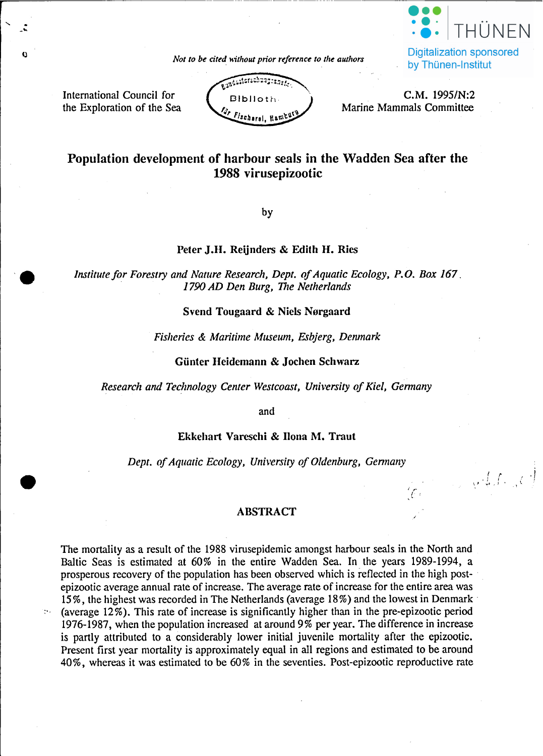

by Thünen-Institut

 $\cup$   $\{ f_i \}_{i \in I}$ 

*Not to be cited* without *prior reference to the authors* 

International Council for the Exploration of the Sea

. -"

•



C.M. 1995/N:2 Marine Mammals Committee

# Population development of harbour seals in the Wadden Sea after the 1988 virusepizootie

by

# Peter J.H. Reijnders & Edith H. Ries

*Institute/or Forestry and Nature Research. Dept. 0/Aquatic Ecology. P.O. Box 167. . 1790 AD Den Burg. The Netherlands*

# Svend Tougaard & Niels Norgaard

#### *Fislzeries* & *Maritime Museum. Esbjerg. Denmark*

# Günter Heidemann & Jochen Schwarz

*Research and TecJmology Center Westcoast. University 0/Kiel. Gennany*

and

## Ekkehart Vareschi & Ilona M. Traut

*Dept. 0/Aquatic Ecology. University o/Oldenburg. Gennany*

# ABSTRACT

The mortality as a result of the 1988 virusepidemic amongst harbour seals in the North and Baltie Seas is estimated at 60% in the entire Wadden Sea. In the years 1989-1994, a prosperous recovery of the population has been observed which is retlected in the high postepizootic average annual rate of increase. The average rate of increase for the entire area was 15%, the highest was recorded in The Netherlands (average 18%) and the lowest in Denmark . (average 12%). This rate of increase is significantly higher than in the pre-epizootie period 1976-1987, when the population increased at around 9% per year. The difference in increase is partly attributed to a considerably lower initial juvenile mortality after the epizootie. Present first year mortality is approximately equal in all regions and estimated to be around 40%, whereas it was estimated to be 60% in the seventies. Post-epizootie reproduetive rate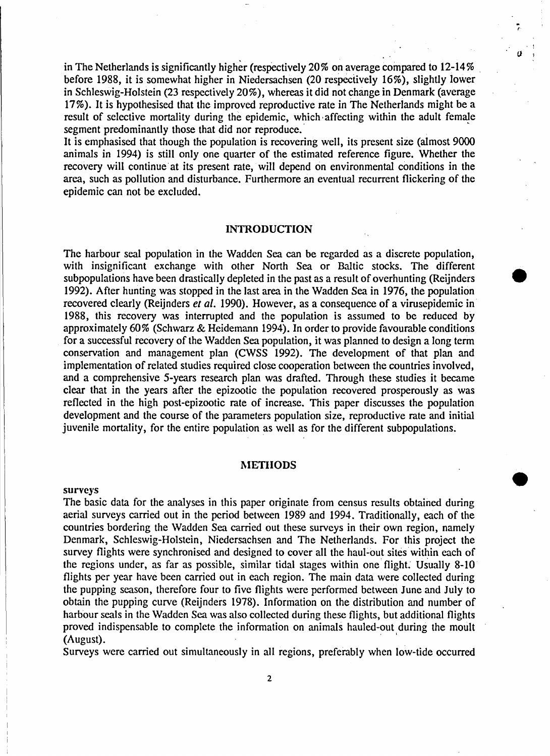in The Netherlands is significantly higher (respectively 20% on average compared to  $12\n-14%$ before 1988, it is somewhat higher in Niedersachsen (20 respeciively 16%), slightly lower in Schleswig-Holstein (23 respectively 20%), whereas it did not change in Denmark (average 17%). It is hypothesised that the improved reproductive rate in The Netherlands might be a result of selective mortality during the epidemic, which· affecting within the adult female segment predominantly those that did nor reproduce.

,.

*a* <sup>1</sup>

•

It is emphasised that though the population is recovering weIl, its present size (almost 9000 animals in 1994) is still only one quarter of the estimated reference figure. Whether the recovery will continue at its present rate, will depend on environmental conditions in the area, such as pollution and disturbance. Furthermore an eventual recurrent flickering of the epidemie can not be excluded.

#### **INTRODUCTION**

The harbour seal population in the Wadden Sea can be regarded as a discrete population, with insignificant exchange with other North Sea or Baltic stocks. The different subpopulations have been drastically depleted in the past as a result of overhunting (Reijnders • 1992). After hunting was stopped in the last area in the Wadden Sea in 1976, the population recovered elearly (Reijnders *er al.* 1990). However, as a consequence of a virusepidemie in 1988, this recovery was interrupted and the population is assumed to be reduced by approximately 60% (Schwarz & Heidemann 1994). In order to provide favourable eonditions for a successful recovery of the Wadden Sea population, it was planned to design a long term eonservation and management plan (CWSS 1992). The development of that plan and implementation of related studies required elose cooperation between the countries involved, and a comprehensive 5-years research plan was drafted. Through these studies it became clear that in the years after the epizootie the population recovercd prosperously as was reflected in the high post-epizootie rate of increase. This paper discusses the population development and the course of the parameters population size, reproductive rate and initial juvenile mortality, for the entire population as weIl as for the different subpopulations.

## **METHODS**

#### surveys

The basic data for the analyses in this paper originate from census results obtained during aerial surveys carried out in the period between 1989 and 1994. TraditionaIly, each of the countries bordering the \Vadden Sea carricd out these surveys in their own region, namely Denmark, Schleswig-Holstein, Niedersachsen and The Netherlands. For this project the survey flights were synchronised and designed to cover all the haul-out sites within each of the regions under, as far as possible, similar tidal stages within one flight. Usually 8-10 flights per year have been carricd out in each region. The main data were collected during the pupping season, therefore four to five flights were performed between June and July to obtain the pupping curve (Reijnders 1978). Information on the distribution and number of harbour seals in the Wadden Sea was also collected during these flights, but additional flights proved indispensable to complete the information on animaIS hauled-out during the moult (August).

Surveys were carried out simultaneously in all regions, preferably when low-tide occurred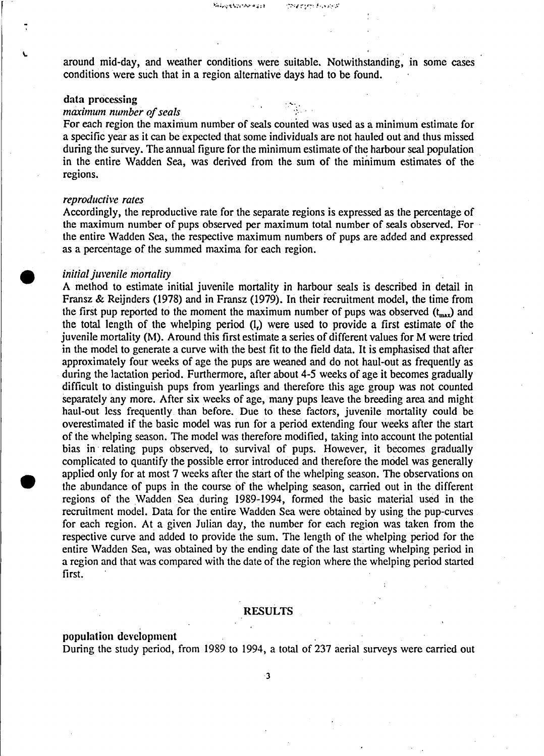around mid-day, and weather conditions were suitable. Notwithstanding, in some cases conditions were such that in a region alternative days had to be found.

# data processing

### *maximum number of seals*

For each region the maximum number of seals counted was used as a minimum estimate for a specific year as it can be expected that some individuals are not hauled out and thus missed during the survey. The annual figure for the minimum estimate of the harbour seal population in the entire Wadden Sea, was derived from the sum of the minimum estimates of the regions.

### *reproductive rates*

Accordingly, the reproductive rate for the separate regions is expressed as the percentage of the maximum number of pups observed per maximum total number of seals observed. For . the entire Wadden Sea, the respective maximum numbers of pups are added and expressed as a percentage of the summed maxima for each region.

#### *initial juvenile monaliry*

A method to estimate initial juvenile mortality in harbour seals is described in detail in Fransz & Reijnders (1978) and in Fransz (1979). In their recruitment model, the time from the first pup reported to the moment the maximum number of pups was observed  $(t_{\text{max}})$  and the total length of the whelping period (1.) were used to provide a first estimate of the juvenile mortality (M). Around this first estimate a series of different values for M were tried in the model to generate a curve with the best fit to the field data. It is emphasised that after approximately four weeks of age the pups are weaned and do not haul-out as frequently as during the lactation period. Furthermore, after about 4-5 weeks of age it becomes gradually difficult to distinguish pups from yearlings and therefore this age group was not counted separately any more. After six weeks of age, many pups leave the breeding area and might haul-out less frequently than before. Due to these factors, juvenile mortality could be overestimated if the basic model was run for aperiod extending four weeks after the start of the whelping season. The model was therefore modified, taking into account the potential bias in' relating pups observed, to survival of pups. However, it becomes gradually complicated to quantify the possible error introduced and therefore the model was generally applied only for at most 7 weeks after the start of the whelping season. The observations on the abundance of pups in the course of the whelping season, carried out in the different regions of the Wadden Sea during 1989-1994, formed the basic material used in the recruitment model. Data for the entire Wadden Sea were obtained by using the pup-curves for each region. At a given Julian day, thc number for each region was taken from the respective curve and added to provide the sum. The length of the whelping period for the entire Wadden Sea, was obtained by the ending date of the last starting whelping period in a region and that was compared with the date of the region where the whelping period started first.

#### RESULTS

#### population dcvclopmcnt

•

During the study period, from 1989 to 1994, a total of 237 aerial surveys were carried out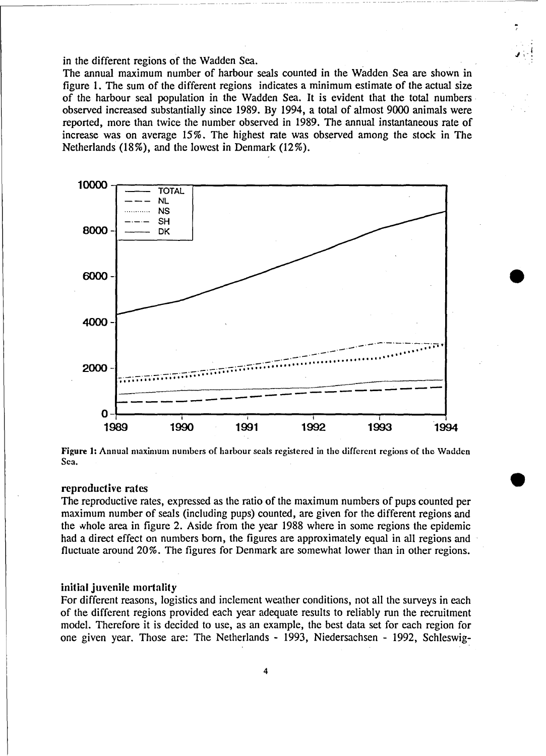in the different regions of the Wadden Sea.

The annual maximum number of harbour seals counted in the Wadden Sea are shown in figure 1. The sum of the different regions indicates a minimum estimate of the actual size of the harbour seal population in the Wadden Sea. It is evident that the total numbers observed increased substantially since 1989. By 1994, a total of almost 9000 animals were reported, more than twice the number observed in 1989. The annual instantaneous rate of increase was on average 15%. The highest rate was observed among the stock in The Netherlands (18%), and the lowest in Denmark (12%).





# reproductive rates

The reproductive rates, expressed as the ratio of the maximum numbers of pups counted per maximum number of seals (including pups) counted, are given for the different regions and the whole area in figure 2. Aside from the year 1988 where in some regions the epidemic had a direct effect on numbers born, the figures are approximately equal in all regions and fluctuate around 20%. The figures for Denmark are somewhat lower than in other regions.

## initial juvenile mortality

For different reasons, logistics and inclement weather conditions, not all the surveys in each of the different regions provided each year adequate results to reliably run the recruitment model. Therefore it is decided to use, as an example, the best data set for each region for one given year. Those are: The Netherlands - 1993, Niedersachsen - 1992, Schleswig-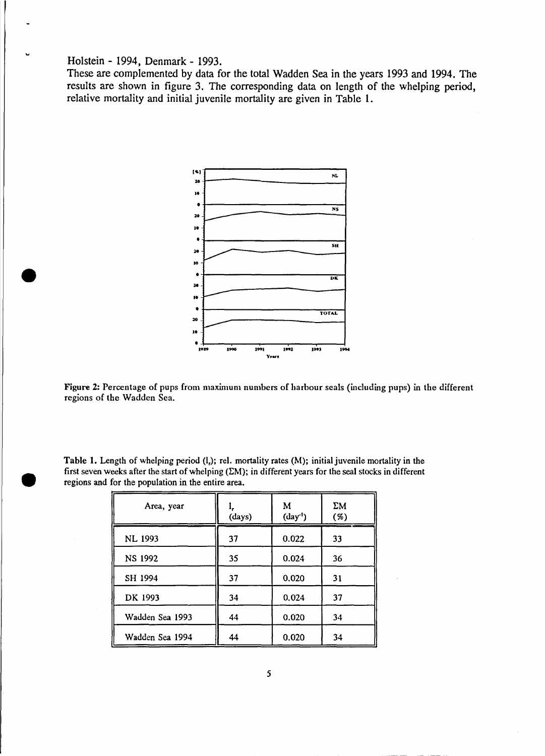# Holstein - 1994, Denmark - 1993.

•

**•** 

These are complemented by data for the total Wadden Sea in the years 1993 and 1994. The results are shown in figure 3. The corresponding data on length of the whelping period, relative mortality and initial juvenile mortality are given in Table 1.



Figure 2: Percentage of pups from maximum numbers of harbour seals (including pups) in the different regions of the Wadden Sea.

| Area, year |        |           | ΣM   |
|------------|--------|-----------|------|
|            | (days) | $(day-1)$ | $\%$ |

| Table 1. Length of whelping period (l,); rel. mortality rates (M); initial juvenile mortality in the       |
|------------------------------------------------------------------------------------------------------------|
| first seven weeks after the start of whelping $(EM)$ ; in different years for the seal stocks in different |
| regions and for the population in the entire area.                                                         |

| нтеа, уеат      | (days) | IVI.<br>$(\text{day}^1)$ | LМ<br>(%) |  |
|-----------------|--------|--------------------------|-----------|--|
| <b>NL 1993</b>  | 37     | 0.022                    | 33        |  |
| NS 1992         | 35     | 0.024                    | 36        |  |
| SH 1994         | 37     | 0.020                    | 31        |  |
| DK 1993         | 34     | 0.024                    | 37        |  |
| Wadden Sea 1993 | 44     | 0.020                    | 34        |  |
| Wadden Sea 1994 | 44     | 0.020                    | 34        |  |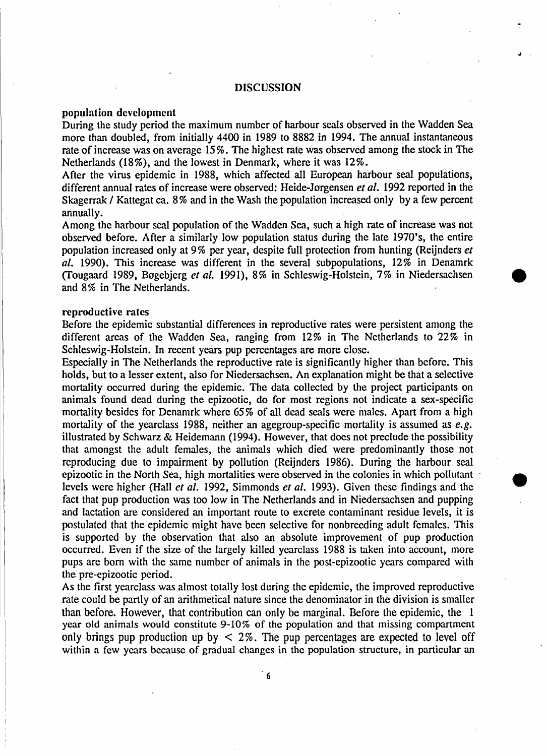# DISCUSSION

# population dcvclopmcnt

During the study period the maximum number of harbour seals observed in the Wadden Sea more than doubled, from initially 4400 in 1989 to 8882 in 1994. The annual instantaneous rate of increase was on average 15%. The highest rate was observed among the stock in The Netherlands (18%), and the lowest in Denmark, where it was 12%.

After the virus epidemie in 1988, which affected all European harbour seal populations, different annual rates of increase were observed: Heide-Jorgensen er *al.* 1992 reported in the Skagerrak / Kattegat ca. 8% and in the Wash the population increased only by a few percent annually.

Among the harbour seal population of the Wadden Sea, such a high rate of increase was not observed before. After a similarly low population status during the late 1970's, the entire population increased only at 9% per year, despite full protection from hunting (Reijnders er *al.* 1990). This increase was different in the several subpopulations, 12% in Denamrk (Tougaard 1989, Bøgebjerg *et al.* 1991), 8% in Schleswig-Holstein, 7% in Niedersachsen and 8% in The Netherlands.

# reproductive rates

Before the epidemie substantial differences in reproductive rates were persistent among the different areas of the Wadden Sea, ranging from 12% in The Netherlands to 22% in Schleswig-Holstein. In recent years pup percentages are more close.

Especially in The Netherlands the reproductive rate is significantly higher than before. This holds, but to a lesser extent, also for Niedersachsen. An explanation might be that a selective mortality oceurred during the epidemie. The data eollected by the project participants on animals found dead during the epizootie, do for most regions not indicate a sex-specifie mortality besides for Denamrk where 65% of all dead seals were males. Apart from a high mortality of the yearclass 1988, neither an agegroup-specific mortality is assumed as *e.g.* illustrated by Schwarz & Heidemann (1994). However, that does not preclude the possibility that amongst the adult females, the animals which died were predominantly those not reproducing due to impairment by pollution (Reijnders 1986). During the harbour seal epizootie in the North Sea, high mortalities were observed in the colonies in which pollutant . • levels were higher (Hall et al. 1992, Simmonds et al. 1993). Given these findings and the fact that pup production was too low in The Netherlands and in Niedersachsen and pupping and lactation are considered an important route to excrete contaminant residue levels, it is postulated that the epidemie might have been selective for nonbreeding adult females. This is supported by the observation that also an absolute improvement of pup production occurred. Even if the size of the largely killed yearclass 1988 is taken into account, more pups are born with the same number of animals in the post-epizootie years compared with the pre-epizootic period.

As the first yearclass was almost totally lost during the epidemie, the improved reproductive rate could be partly of an arithmetical nature since the denominator in the division is smaller than before. However, that contribution can only be marginal. Before the epidemic, the 1 year old animals would constitute 9-10% of the population and that missing compartment only brings pup production up by  $\leq$  2%. The pup percentages are expected to level off within a few years because of gradual changes in the population structure, in particular an

6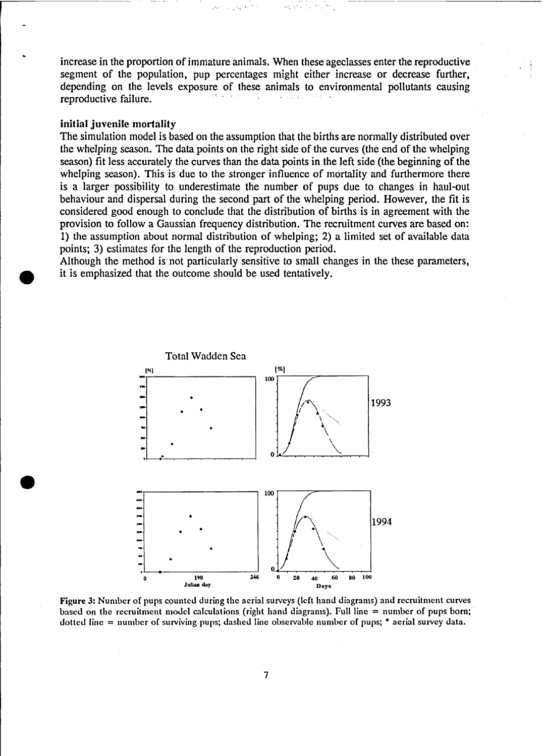increase in the proportion of immature animals. When these ageclasses enter the reproductive segment of the population, pup percentages might either increase or decrease further, depending on the levels exposure of these animals to environmental pollutants causing reproductive failure.

------------------

# initial juvenile mortality

**•** 

The simulation model is based on the assumption that the births are normally distributed over the whelping season. The data points on the right side of the curves (the end of the whelping season) fit less accurately the curves than the data points in the left side (the beginning of the whelping season). This is due to the stronger influence of mortality and furthermore there is a larger possibility to underestimate the number of pups due to changes in haul-out behaviour and dispersal during the second part of the whelping period. However, the fit is considered good enough to conclude that the distribution of births is in agreement with the provision to follow a Gaussian frequency distribution. The recruitment curves are based on: 1) the assumption about normal distribution of whelping; 2) a limited set of available data points; 3) estimates for the length of the reproduction period.

Although the method is not particularly sensitive to small changes in the these parameters, it is emphasized that the outcome should be used tentatively.



Figure 3: Number of pups counted during the aerial surveys (left hand diagrams) and recruitment curves based on the recruitment model calculations (right hand diagrams). Full line  $=$  number of pups born; dotted line  $=$  number of surviving pups; dashed line observable number of pups;  $*$  aerial survey data.

7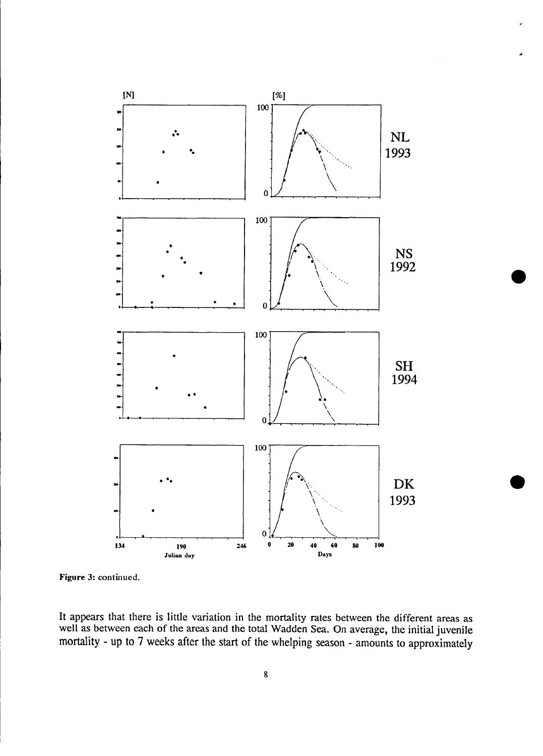

Figure 3: continued.

It appears that there is little variation in the mortality rates between the different areas as well as between each of the areas and the total Wadden Sea. On average, the initial juvenile mortality - up to 7 weeks after the start of the whelping season - amounts to approximately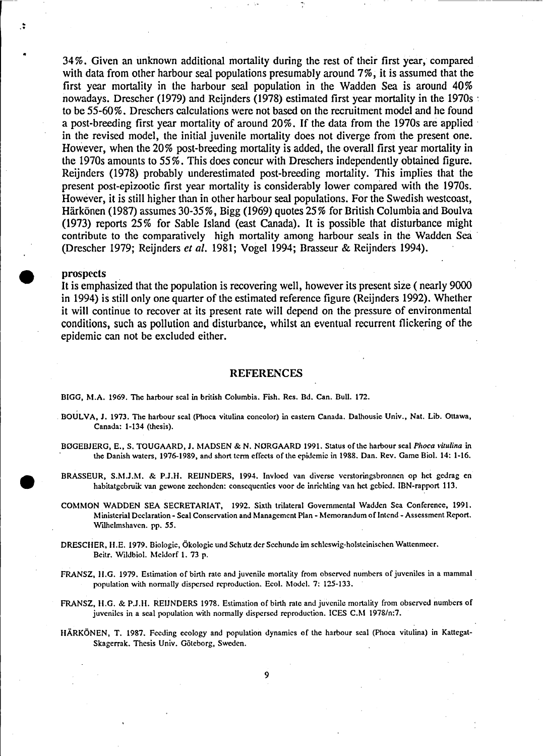34%. Given an unknown additional mortaIity during the rest of their first year, compared with data from other harbour seal populations presumably around 7%, it is assumed that the first year mortality in the harbour seal population in the Wadden Sea is around 40% nowadays. Drescher (1979) and Reijnders (1978) estimated first year mortality in the 1970s . to be 55-60%. Dreschers calculations were not based on the recruitment model and he found a post-breeding first year mortality of around 20%. If the data from the 1970s are applied in the revised model, the initial juvenile mortaIity does not diverge from the present one. However, when the 20% post-breeding mortality is added, the overall first year mortality in the 1970s amounts to 55%. This does concur with Dreschers independently obtained figure. Reijnders (1978) probably underestimated post-breeding mortality. This implies that the present post-epizootie first year mortality is considerably lower compared with the 1970s. However, it is still higher than in other harbour seal populations. For the Swedish westcoast, Härkönen (1987) assumes 30-35%, Bigg (1969) quotes 25% for British Columbia and Boulva (1973) reports 25% for Sable Island (east Canada). It is possible that disturbance might contribute to the comparatively high mortality among harbour seals in the Wadden Sea (Drescher 1979; Reijnders *er al.* 1981; Vogel 1994; ßrasseur & Reijnders 1994).

### prospects

.. .'

•

•<br>●

•

It is emphasized that the population is recovering weIl, however its present size ( nearly 9000 in 1994) is still only one quarter of the estimated reference figure (Reijnders 1992). Whether it will continue to recover at its present rate will depend on the pressure of environmental conditions, such as pollution and disturbance, whilst an eventual reeurrent flickering of the epidemie can not be excluded either.

#### REFERENCES

B1GG, M.A. 1969. The harbour seal in british Columbia. Fish. Res. Dd. Can. Dull. 172.

- DOULVA, J. 1973. Tbe harbour seal (Phoca vitulina concolor) in eastem Canada. Dalhousie Univ., Nat. Lib. Ottawa, Canada: 1-134 (thcsis).
- BOGEBJERG, E., S. TOUGAARD, J. MADSEN & N. NORGAARD 1991. Status of the harbour seal *Phoca vitulina* in the Danish watcrs, 1976-1989, and short tcrm cffeets of the epidemie in 1988. Dan. Rev. Game Dio!. 14: 1·16.
- DRASSEUR, S.M.J.M. & P.J.II. REIJNDERS, 1994. Invlocd van diverse vcrstoringsbronncn op het gcdrag en habitatgebruik van gewone zeehonden: consequenties voor de inrichting van het gebied. IBN-rapport 113.
- COMMON WADDEN SEA SECRETARIAT, 1992. Sixth trilateral Govemmental Wadden Sea Conference, 1991. Ministerial Deelaration - Seal Conservation and Managemcnt Plan - Memorandum of Intcnd - Assessment Rcport. Wilhelmshaven. pp. 55.
- DRESCHER, H.E. 1979. Biologie, Ökologie und Schutz dcr Seehunde im schlcswig-holstcinischen Wattenmeer. Deitr. Wildbio!. Meldorf 1. 73 p.
- FRANSZ, H.G. 1979. Estimation of birth rate and juvenile mortality from observed numbers of juveniles in a mammal population with normally dispersed reproduction. Ecol. Model. 7: 125-133.
- FRANSZ, H.G. & P.J.H. REIJNDERS 1978. Estimation of birth rate and juvenile mortality from observed numbers of juvcniles in a seal population with normally dispcrsed reproduction. ICES C.M 1978/n:7.
- HÄRKÖNEN, T. 1987. Feeding ecology and population dynamics of the harbour seal (Phoca vitulina) in Kattegat-Skagerrak. Thcsis Univ. Götcborg, Swcdcn.

9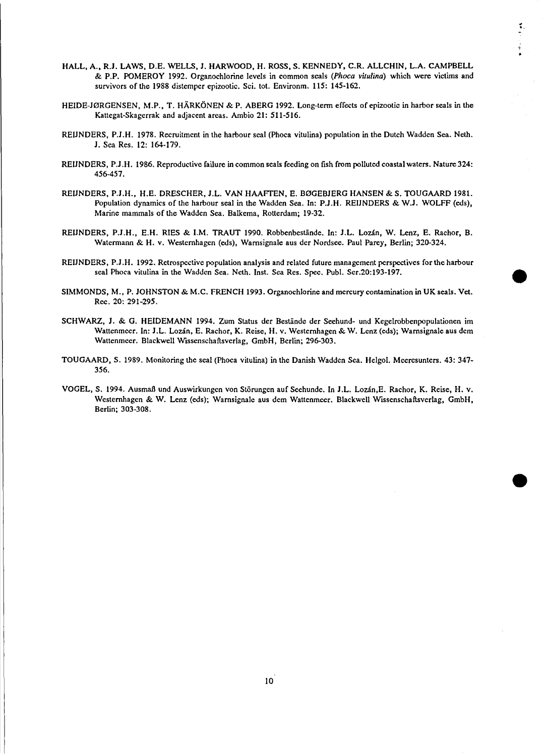HALL, A., R.J. LAWS, D.E. WELLS, J. HARWOOD, H. ROSS, S. KENNEDY, C.R. ALLCHIN, L.A. CAMPBELL & P.P. POMEROY 1992. Organochlorine levels in common seals *(Phoca vitulina)* which were victims and survivors of the 1988 distemper epizootie. Sei. tot. Environm. 115: 145-162.

..

•

•

- HEIDE-J0RGENSEN, M.P., T. HÄRKÖNEN & P. ABERG 1992. Long-term effects ofepizootie in harbor seals in the Kattegat-Skagerrak and adjacent areas. Ambio 21: 511-516.
- REIJNDERS, P.l.H. 1978. Recruitment in the harbour seal (Phoca vitulina) population in the Duteh Wadden Sea. Neth. 1. Sea Res. 12: 164-179.
- REIJNDERS, P.J.H. 1986. Reproductive failure in common seals feeding on fish from polluted coastal waters. Nature 324: 456-457.
- REIJNDERS, P.J.H., H.E. DRESCHER, J.L. VAN HAAFTEN, E. BØGEBJERG HANSEN & S. TOUGAARD 1981. Population dynamics of the harbour seal in the Wadden Sea. In: P.J.H. REIJNDERS & W.J. WOLFF (eds), Marine mammals of the Wadden Sea. BaIkema, Rotterdam; 19-32.
- REIJNDERS, P.J.H., E.H. RIES & I.M. TRAUT 1990. Robbenbestände. In: J.L. Lozán, W. Lenz, E. Rachor, B. Watermann & H. v. Westernhagen (eds), Warnsignale aus der Nordsee. Paul Parey, Berlin; 320-324.
- REIJNDERS, P.J.H. 1992. Retrospective population analysis and related future management perspectives for the harbour seal Phoca vitulina in the Wadden Sea. Neth. Inst. Sea Res. Spee. Pub!. Ser.20:193-197.
- SIMMONDS, M., P. JOHNSTON & M.C. FRENCH 1993. Organochlorine and mercury contamination in UK seals. Vet. Rec. 20: 291-295.
- SCHWARZ, J. & G. HEIDEMANN 1994. Zum Status der Bestände der Seehund- und Kegelrobbenpopulationen im Wattenmeer. In: J.L. Lozán, E. Rachor, K. Reise, H. v. Westernhagen & W. Lenz (eds); Warnsignale aus dem Wattenmeer. Blackwell Wissensehaftsverlag, GmbH, Berlin; 296-303.
- TOUGAARD, S. 1989. Monitoring the seal (Phoea vitulina) in the Danish Wadden Sea. Helgo!. Meeresunters. 43: 347- 356.
- VOGEL, S. 1994. Ausmaß und Auswirkungen von Störungen auf Seehunde. In J.L. Lozan,E. Raehor, K. Reise, H. V. Westernhagen & W. Lenz (eds); Warnsignale aus dem Wattenmeer. Blackwell Wissenschaftsverlag, GmbH, Berlin; 303-308.